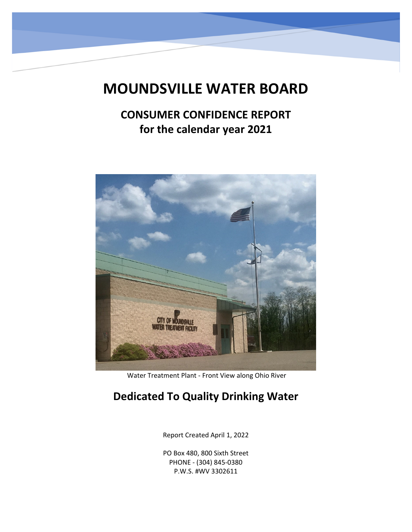# **MOUNDSVILLE WATER BOARD**

## **CONSUMER CONFIDENCE REPORT for the calendar year 2021**



Water Treatment Plant ‐ Front View along Ohio River

### **Dedicated To Quality Drinking Water**

Report Created April 1, 2022

PO Box 480, 800 Sixth Street PHONE ‐ (304) 845‐0380 P.W.S. #WV 3302611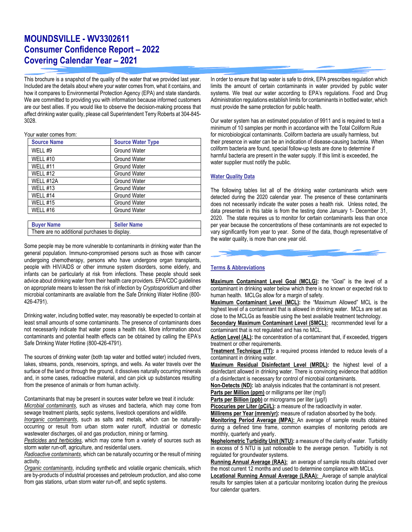### **MOUNDSVILLE - WV3302611 Consumer Confidence Report – 2022 Covering Calendar Year – 2021**

This brochure is a snapshot of the quality of the water that we provided last year. Included are the details about where your water comes from, what it contains, and how it compares to Environmental Protection Agency (EPA) and state standards. We are committed to providing you with information because informed customers are our best allies. If you would like to observe the decision-making process that affect drinking water quality, please call Superintendent Terry Roberts at 304-845- 3028.

#### Your water comes from:

| <b>Source Name</b> | <b>Source Water Type</b> |
|--------------------|--------------------------|
| WELL #9            | <b>Ground Water</b>      |
| WELL #10           | <b>Ground Water</b>      |
| <b>WELL #11</b>    | <b>Ground Water</b>      |
| WELL #12           | <b>Ground Water</b>      |
| WELL #12A          | <b>Ground Water</b>      |
| WELL #13           | <b>Ground Water</b>      |
| WELL #14           | <b>Ground Water</b>      |
| WELL #15           | <b>Ground Water</b>      |
| WELL #16           | <b>Ground Water</b>      |
|                    |                          |

| <b>Buyer Name</b>                             | <b>Seller Name</b> |
|-----------------------------------------------|--------------------|
| There are no additional purchases to display. |                    |

Some people may be more vulnerable to contaminants in drinking water than the general population. Immuno-compromised persons such as those with cancer undergoing chemotherapy, persons who have undergone organ transplants, people with HIV/AIDS or other immune system disorders, some elderly, and infants can be particularly at risk from infections. These people should seek advice about drinking water from their health care providers. EPA/CDC guidelines on appropriate means to lessen the risk of infection by *Cryptosporidium* and other microbial contaminants are available from the Safe Drinking Water Hotline (800- 426-4791).

Drinking water, including bottled water, may reasonably be expected to contain at least small amounts of some contaminants. The presence of contaminants does not necessarily indicate that water poses a health risk. More information about contaminants and potential health effects can be obtained by calling the EPA's Safe Drinking Water Hotline (800-426-4791).

The sources of drinking water (both tap water and bottled water) included rivers, lakes, streams, ponds, reservoirs, springs, and wells. As water travels over the surface of the land or through the ground, it dissolves naturally occurring minerals and, in some cases, radioactive material, and can pick up substances resulting from the presence of animals or from human activity.

Contaminants that may be present in sources water before we treat it include: *Microbial contaminants*, such as viruses and bacteria, which may come from sewage treatment plants, septic systems, livestock operations and wildlife.

*Inorganic contaminants*, such as salts and metals, which can be naturallyoccurring or result from urban storm water runoff, industrial or domestic wastewater discharges, oil and gas production, mining or farming.

*Pesticides and herbicides*, which may come from a variety of sources such as storm water run-off, agriculture, and residential users.

*Radioactive contaminants*, which can be naturally occurring or the result of mining activity.

*Organic contaminants*, including synthetic and volatile organic chemicals, which are by-products of industrial processes and petroleum production, and also come from gas stations, urban storm water run-off, and septic systems.

In order to ensure that tap water is safe to drink, EPA prescribes regulation which limits the amount of certain contaminants in water provided by public water systems. We treat our water according to EPA's regulations. Food and Drug Administration regulations establish limits for contaminants in bottled water, which must provide the same protection for public health.

Our water system has an estimated population of 9911 and is required to test a minimum of 10 samples per month in accordance with the Total Coliform Rule for microbiological contaminants. Coliform bacteria are usually harmless, but their presence in water can be an indication of disease-causing bacteria. When coliform bacteria are found, special follow-up tests are done to determine if harmful bacteria are present in the water supply. If this limit is exceeded, the water supplier must notify the public.

#### **Water Quality Data**

The following tables list all of the drinking water contaminants which were detected during the 2020 calendar year. The presence of these contaminants does not necessarily indicate the water poses a health risk. Unless noted, the data presented in this table is from the testing done January 1- December 31, 2020. The state requires us to monitor for certain contaminants less than once per year because the concentrations of these contaminants are not expected to vary significantly from year to year. Some of the data, though representative of the water quality, is more than one year old.



#### **Terms & Abbreviations**

**Maximum Contaminant Level Goal (MCLG):** the "Goal" is the level of a contaminant in drinking water below which there is no known or expected risk to human health. MCLGs allow for a margin of safety.

**Maximum Contaminant Level (MCL):** the "Maximum Allowed" MCL is the highest level of a contaminant that is allowed in drinking water. MCLs are set as close to the MCLGs as feasible using the best available treatment technology.

**Secondary Maximum Contaminant Level (SMCL):** recommended level for a contaminant that is not regulated and has no MCL.

Action Level (AL): the concentration of a contaminant that, if exceeded, triggers treatment or other requirements.

**Treatment Technique (TT):** a required process intended to reduce levels of a contaminant in drinking water.

**Maximum Residual Disinfectant Level (MRDL):** the highest level of a disinfectant allowed in drinking water. There is convincing evidence that addition of a disinfectant is necessary for control of microbial contaminants.

**Non-Detects (ND):** lab analysis indicates that the contaminant is not present.

Parts per Million (ppm) or milligrams per liter (mg/l)

Parts per Billion (ppb) or micrograms per liter (µg/l)

**Picocuries per Liter (pCi/L):** a measure of the radioactivity in water.

**Millirems per Year (mrem/yr):** measure of radiation absorbed by the body.

**Monitoring Period Average (MPA):** An average of sample results obtained during a defined time frame, common examples of monitoring periods are monthly, quarterly and yearly.

**Nephelometric Turbidity Unit (NTU):** a measure of the clarity of water. Turbidity in excess of 5 NTU is just noticeable to the average person. Turbidity is not regulated for groundwater systems.

Running Annual Average (RAA): an average of sample results obtained over the most current 12 months and used to determine compliance with MCLs.

**Locational Running Annual Average (LRAA):** Average of sample analytical results for samples taken at a particular monitoring location during the previous four calendar quarters.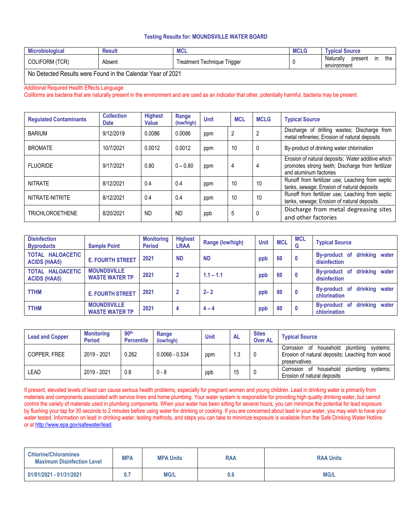#### **Testing Results for: MOUNDSVILLE WATER BOARD**

| <b>Microbiological</b>                                                                  | <b>Result</b> | <b>IVIUL</b>                     | <b>MCLG</b> | <b>Typical Source</b>                                      |  |  |  |
|-----------------------------------------------------------------------------------------|---------------|----------------------------------|-------------|------------------------------------------------------------|--|--|--|
| <b>COLIFORM (TCR)</b>                                                                   | Absent        | Trigger<br>Treatment Technique 1 |             | the<br>Naturally<br>present<br>$\mathsf{I}$<br>environment |  |  |  |
| $\overline{\phantom{a}}$ Me Betecked Besults were Ferred by the Oslander Vesse of 0004. |               |                                  |             |                                                            |  |  |  |

No Detected Results were Found in the Calendar Year of 2021

#### Additional Required Health Effects Language:

Coliforms are bacteria that are naturally present in the environment and are used as an indicator that other, potentially harmful, bacteria may be present.

| <b>Requlated Contaminants</b> | <b>Collection</b><br><b>Date</b> | <b>Highest</b><br>Value | Range<br>(low/high) | <b>Unit</b> | <b>MCL</b> | <b>MCLG</b> | <b>Typical Source</b>                                                                                                           |
|-------------------------------|----------------------------------|-------------------------|---------------------|-------------|------------|-------------|---------------------------------------------------------------------------------------------------------------------------------|
| <b>BARIUM</b>                 | 9/12/2019                        | 0.0086                  | 0.0086              | ppm         | 2          |             | Discharge of drilling wastes; Discharge from<br>metal refineries; Erosion of natural deposits                                   |
| <b>BROMATE</b>                | 10/7/2021                        | 0.0012                  | 0.0012              | ppm         | 10         |             | By-product of drinking water chlorination                                                                                       |
| <b>FLUORIDE</b>               | 9/17/2021                        | 0.80                    | $0 - 0.80$          | ppm         | 4          | 4           | Erosion of natural deposits; Water additive which<br>promotes strong teeth; Discharge from fertilizer<br>and aluminum factories |
| <b>NITRATE</b>                | 8/12/2021                        | 0.4                     | 0.4                 | ppm         | 10         | 10          | Runoff from fertilizer use; Leaching from septic<br>tanks, sewage; Erosion of natural deposits                                  |
| NITRATE-NITRITE               | 8/12/2021                        | 0.4                     | 0.4                 | ppm         | 10         | 10          | Runoff from fertilizer use; Leaching from septic<br>tanks, sewage; Erosion of natural deposits                                  |
| <b>TRICHLOROETHENE</b>        | 8/20/2021                        | <b>ND</b>               | <b>ND</b>           | ppb         | 5          |             | Discharge from metal degreasing sites<br>and other factories                                                                    |

| <b>Disinfection</b><br><b>Byproducts</b> | <b>Sample Point</b>                         | <b>Monitoring</b><br><b>Period</b> | <b>Highest</b><br><b>LRAA</b> | Range (low/high) | <b>Unit</b> | <b>MCL</b> | <b>MCL</b><br>G | <b>Typical Source</b>                           |
|------------------------------------------|---------------------------------------------|------------------------------------|-------------------------------|------------------|-------------|------------|-----------------|-------------------------------------------------|
| TOTAL HALOACETIC<br><b>ACIDS (HAA5)</b>  | <b>E. FOURTH STREET</b>                     | 2021                               | <b>ND</b>                     | <b>ND</b>        | ppb         | 60         | 0               | By-product of drinking water<br>disinfection    |
| TOTAL HALOACETIC<br><b>ACIDS (HAA5)</b>  | <b>MOUNDSVILLE</b><br><b>WASTE WATER TP</b> | 2021                               | $\overline{2}$                | $1.1 - 1.1$      | ppb         | 60         | 0               | drinking water<br>By-product of<br>disinfection |
| <b>TTHM</b>                              | <b>E. FOURTH STREET</b>                     | 2021                               | $\overline{2}$                | $2 - 2$          | ppb         | 80         | 0               | By-product of drinking water<br>chlorination    |
| <b>TTHM</b>                              | <b>MOUNDSVILLE</b><br><b>WASTE WATER TP</b> | 2021                               | 4                             | $4 - 4$          | ppb         | 80         | 0               | drinking water<br>By-product of<br>chlorination |

| <b>Lead and Copper</b> | <b>Monitoring</b><br><b>Period</b> | 90 <sup>th</sup><br><b>Percentile</b> | Range<br>(low/high) | <b>Unit</b> | <b>AL</b> | <b>Sites</b><br><b>Over AL</b> | <b>Typical Source</b>                                                                                           |
|------------------------|------------------------------------|---------------------------------------|---------------------|-------------|-----------|--------------------------------|-----------------------------------------------------------------------------------------------------------------|
| COPPER. FREE           | 2019 - 2021                        | 0.262                                 | $0.0066 - 0.534$    | ppm         | I.3       |                                | Corrosion of household plumbing<br>systems:<br>Erosion of natural deposits; Leaching from wood<br>preservatives |
| LEAD                   | 2019 - 2021                        | 0.8                                   | $0 - 8$             | ppb         | 15        |                                | Corrosion of household<br>plumbing<br>systems;<br>Erosion of natural deposits                                   |

If present, elevated levels of lead can cause serious health problems, especially for pregnant women and young children. Lead in drinking water is primarily from materials and components associated with service lines and home plumbing. Your water system is responsible for providing high quality drinking water, but cannot control the variety of materials used in plumbing components. When your water has been sitting for several hours, you can minimize the potential for lead exposure by flushing your tap for 30 seconds to 2 minutes before using water for drinking or cooking. If you are concerned about lead in your water, you may wish to have your water tested. Information on lead in drinking water, testing methods, and steps you can take to minimize exposure is available from the Safe Drinking Water Hotline or at http://www.epa.gov/safewater/lead.

| <b>Chlorine/Chloramines</b><br><b>Maximum Disinfection Level</b> | <b>MPA</b> | <b>MPA Units</b> | RAA | <b>RAA Units</b> |
|------------------------------------------------------------------|------------|------------------|-----|------------------|
| 01/01/2021 - 01/31/2021                                          | υ.,        | <b>MG/L</b>      | 0.6 | <b>MG/L</b>      |